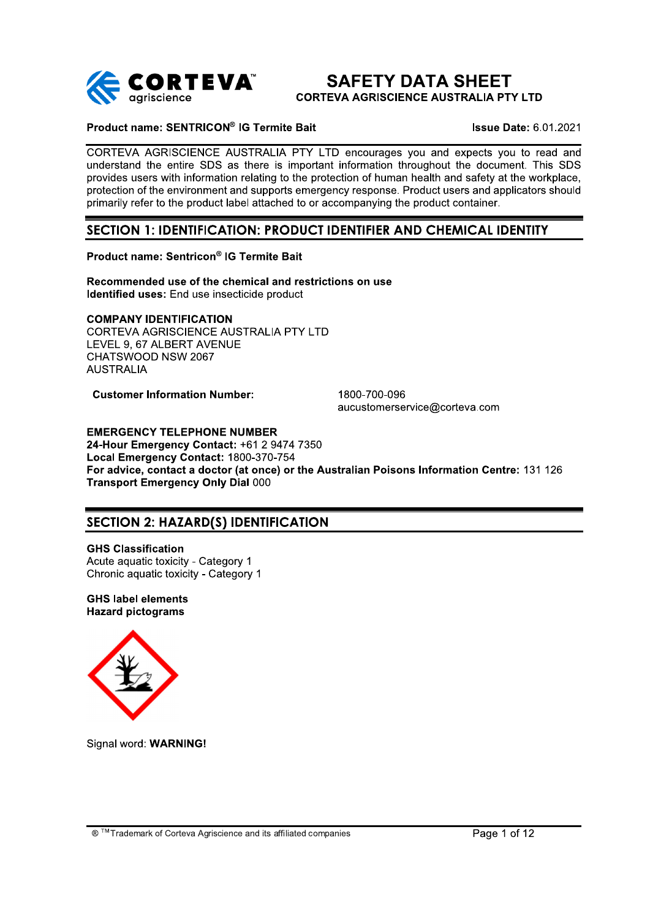

## **SAFETY DATA SHEET CORTEVA AGRISCIENCE AUSTRALIA PTY LTD**

# Product name: SENTRICON® IG Termite Bait

**Issue Date: 6.01.2021** 

CORTEVA AGRISCIENCE AUSTRALIA PTY LTD encourages you and expects you to read and understand the entire SDS as there is important information throughout the document. This SDS provides users with information relating to the protection of human health and safety at the workplace. protection of the environment and supports emergency response. Product users and applicators should primarily refer to the product label attached to or accompanying the product container.

## SECTION 1: IDENTIFICATION: PRODUCT IDENTIFIER AND CHEMICAL IDENTITY

## Product name: Sentricon® IG Termite Bait

Recommended use of the chemical and restrictions on use Identified uses: End use insecticide product

## **COMPANY IDENTIFICATION**

CORTEVA AGRISCIENCE AUSTRALIA PTY LTD LEVEL 9. 67 ALBERT AVENUE CHATSWOOD NSW 2067 **AUSTRALIA** 

**Customer Information Number:** 

1800-700-096 aucustomerservice@corteva.com

**EMERGENCY TELEPHONE NUMBER** 24-Hour Emergency Contact: +61 2 9474 7350 Local Emergency Contact: 1800-370-754 For advice, contact a doctor (at once) or the Australian Poisons Information Centre: 131 126 **Transport Emergency Only Dial 000** 

## **SECTION 2: HAZARD(S) IDENTIFICATION**

**GHS Classification** Acute aguatic toxicity - Category 1 Chronic aquatic toxicity - Category 1

**GHS label elements Hazard pictograms** 



Signal word: WARNING!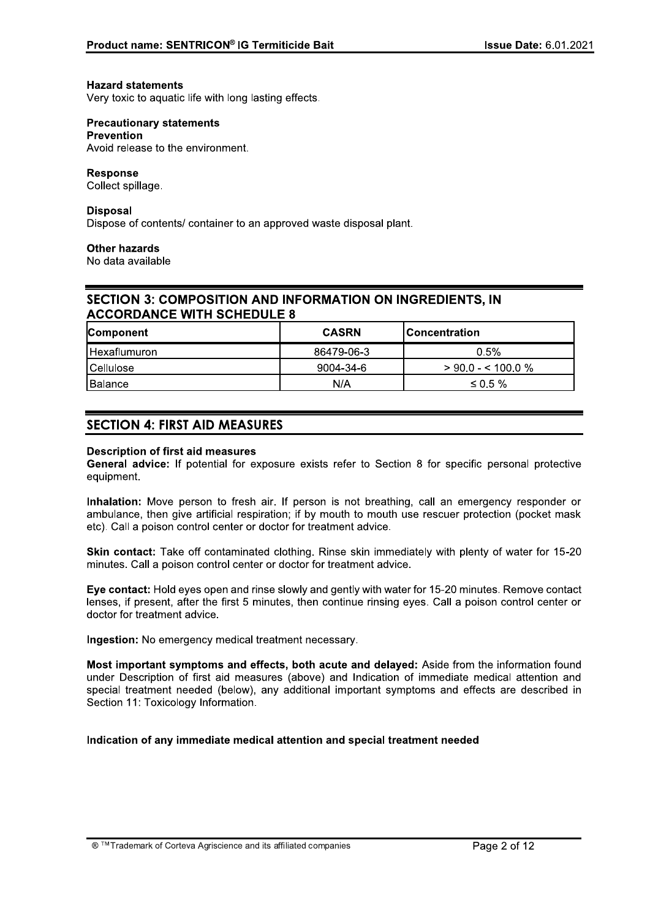#### **Hazard statements**

Very toxic to aquatic life with long lasting effects.

#### **Precautionary statements Prevention**

Avoid release to the environment.

## **Response**

Collect spillage.

## **Disposal**

Dispose of contents/ container to an approved waste disposal plant.

## **Other hazards**

No data available

## **SECTION 3: COMPOSITION AND INFORMATION ON INGREDIENTS. IN ACCORDANCE WITH SCHEDULE 8**

| <b>Component</b> | <b>CASRN</b> | lConcentration       |
|------------------|--------------|----------------------|
| Hexaflumuron     | 86479-06-3   | 0.5%                 |
| l Cellulose      | 9004-34-6    | $>$ 90.0 - < 100.0 % |
| <b>Balance</b>   | N/A          | $\leq 0.5 \%$        |

## **SECTION 4: FIRST AID MEASURES**

## **Description of first aid measures**

General advice: If potential for exposure exists refer to Section 8 for specific personal protective equipment.

Inhalation: Move person to fresh air. If person is not breathing, call an emergency responder or ambulance, then give artificial respiration; if by mouth to mouth use rescuer protection (pocket mask etc). Call a poison control center or doctor for treatment advice.

Skin contact: Take off contaminated clothing. Rinse skin immediately with plenty of water for 15-20 minutes. Call a poison control center or doctor for treatment advice.

Eye contact: Hold eyes open and rinse slowly and gently with water for 15-20 minutes. Remove contact lenses, if present, after the first 5 minutes, then continue rinsing eyes. Call a poison control center or doctor for treatment advice.

Ingestion: No emergency medical treatment necessary.

Most important symptoms and effects, both acute and delaved: Aside from the information found under Description of first aid measures (above) and Indication of immediate medical attention and special treatment needed (below), any additional important symptoms and effects are described in Section 11: Toxicology Information.

## Indication of any immediate medical attention and special treatment needed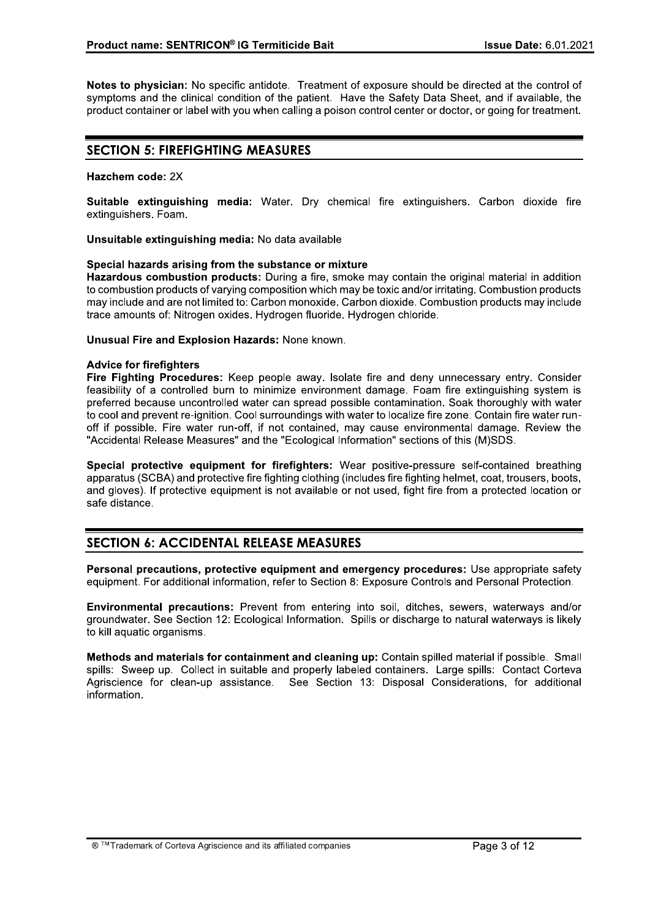Notes to physician: No specific antidote. Treatment of exposure should be directed at the control of symptoms and the clinical condition of the patient. Have the Safety Data Sheet, and if available, the product container or label with you when calling a poison control center or doctor, or going for treatment.

## **SECTION 5: FIREFIGHTING MEASURES**

## Hazchem code: 2X

Suitable extinguishing media: Water. Dry chemical fire extinguishers. Carbon dioxide fire extinguishers. Foam.

Unsuitable extinguishing media: No data available

## Special hazards arising from the substance or mixture

Hazardous combustion products: During a fire, smoke may contain the original material in addition to combustion products of varying composition which may be toxic and/or irritating. Combustion products may include and are not limited to: Carbon monoxide. Carbon dioxide. Combustion products may include trace amounts of: Nitrogen oxides. Hydrogen fluoride. Hydrogen chloride.

**Unusual Fire and Explosion Hazards: None known.** 

## **Advice for firefighters**

Fire Fighting Procedures: Keep people away. Isolate fire and deny unnecessary entry. Consider feasibility of a controlled burn to minimize environment damage. Foam fire extinguishing system is preferred because uncontrolled water can spread possible contamination. Soak thoroughly with water to cool and prevent re-ignition. Cool surroundings with water to localize fire zone. Contain fire water runoff if possible. Fire water run-off, if not contained, may cause environmental damage. Review the "Accidental Release Measures" and the "Ecological Information" sections of this (M)SDS.

Special protective equipment for firefighters: Wear positive-pressure self-contained breathing apparatus (SCBA) and protective fire fighting clothing (includes fire fighting helmet, coat, trousers, boots, and gloves). If protective equipment is not available or not used, fight fire from a protected location or safe distance.

## **SECTION 6: ACCIDENTAL RELEASE MEASURES**

Personal precautions, protective equipment and emergency procedures: Use appropriate safety equipment. For additional information, refer to Section 8: Exposure Controls and Personal Protection.

Environmental precautions: Prevent from entering into soil, ditches, sewers, waterways and/or groundwater. See Section 12: Ecological Information. Spills or discharge to natural waterways is likely to kill aquatic organisms.

Methods and materials for containment and cleaning up: Contain spilled material if possible. Small spills: Sweep up. Collect in suitable and properly labeled containers. Large spills: Contact Corteva Agriscience for clean-up assistance. See Section 13: Disposal Considerations, for additional information.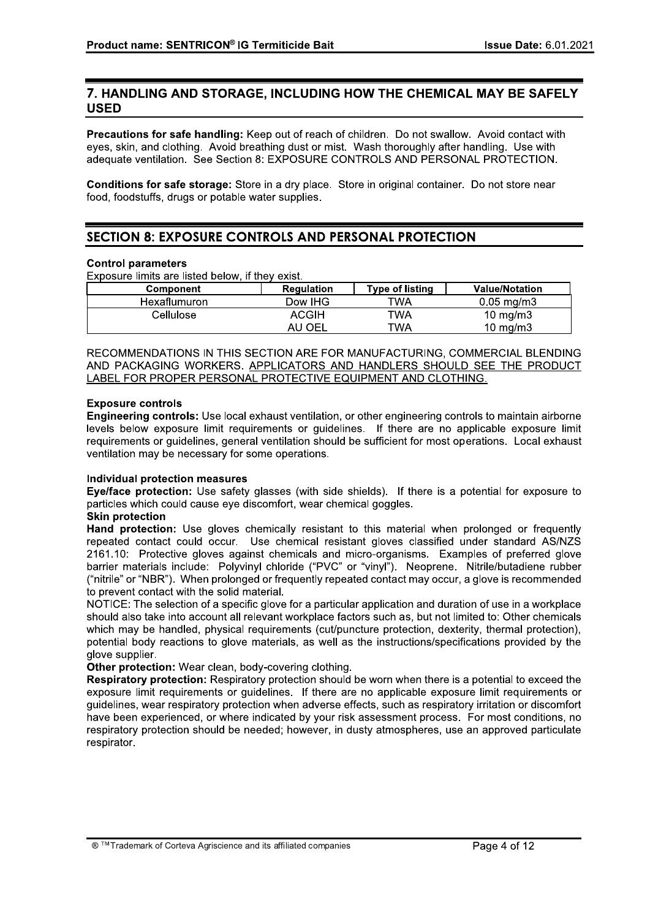## 7. HANDLING AND STORAGE, INCLUDING HOW THE CHEMICAL MAY BE SAFELY **USED**

Precautions for safe handling: Keep out of reach of children. Do not swallow. Avoid contact with eyes, skin, and clothing. Avoid breathing dust or mist. Wash thoroughly after handling. Use with adequate ventilation. See Section 8: EXPOSURE CONTROLS AND PERSONAL PROTECTION.

Conditions for safe storage: Store in a dry place. Store in original container. Do not store near food, foodstuffs, drugs or potable water supplies.

## **SECTION 8: EXPOSURE CONTROLS AND PERSONAL PROTECTION**

## **Control parameters**

Exposure limits are listed below, if they exist.

| Component    | <b>Regulation</b> | <b>Type of listing</b> | <b>Value/Notation</b> |
|--------------|-------------------|------------------------|-----------------------|
| Hexaflumuron | Dow IHG           | TWA                    | $0.05 \; mg/m3$       |
| Cellulose    | ACGIH             | TWA                    | 10 mg/m $3$           |
|              | AU OEL            | TWA                    | 10 mg/m $3$           |

RECOMMENDATIONS IN THIS SECTION ARE FOR MANUFACTURING, COMMERCIAL BLENDING AND PACKAGING WORKERS. APPLICATORS AND HANDLERS SHOULD SEE THE PRODUCT LABEL FOR PROPER PERSONAL PROTECTIVE EQUIPMENT AND CLOTHING.

## **Exposure controls**

Engineering controls: Use local exhaust ventilation, or other engineering controls to maintain airborne levels below exposure limit requirements or quidelines. If there are no applicable exposure limit requirements or quidelines, general ventilation should be sufficient for most operations. Local exhaust ventilation may be necessary for some operations.

## Individual protection measures

Eye/face protection: Use safety glasses (with side shields). If there is a potential for exposure to particles which could cause eye discomfort, wear chemical goggles.

## **Skin protection**

Hand protection: Use gloves chemically resistant to this material when prolonged or frequently repeated contact could occur. Use chemical resistant gloves classified under standard AS/NZS 2161.10: Protective gloves against chemicals and micro-organisms. Examples of preferred glove barrier materials include: Polyvinyl chloride ("PVC" or "vinyl"). Neoprene. Nitrile/butadiene rubber ("nitrile" or "NBR"). When prolonged or frequently repeated contact may occur, a glove is recommended to prevent contact with the solid material.

NOTICE: The selection of a specific glove for a particular application and duration of use in a workplace should also take into account all relevant workplace factors such as, but not limited to: Other chemicals which may be handled, physical requirements (cut/puncture protection, dexterity, thermal protection), potential body reactions to glove materials, as well as the instructions/specifications provided by the glove supplier.

Other protection: Wear clean, body-covering clothing.

Respiratory protection: Respiratory protection should be worn when there is a potential to exceed the exposure limit requirements or quidelines. If there are no applicable exposure limit requirements or quidelines, wear respiratory protection when adverse effects, such as respiratory irritation or discomfort have been experienced, or where indicated by your risk assessment process. For most conditions, no respiratory protection should be needed; however, in dusty atmospheres, use an approved particulate respirator.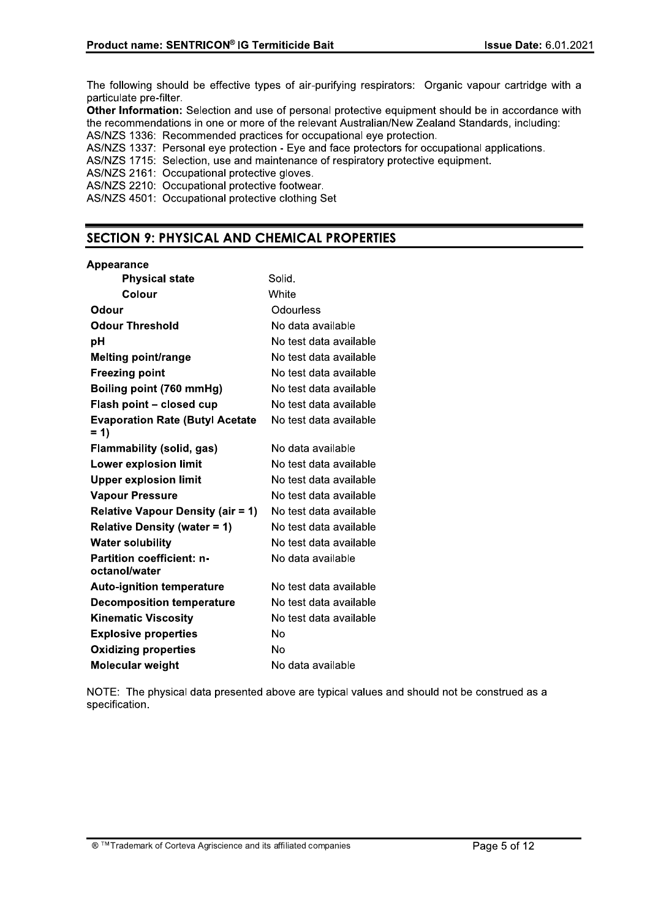The following should be effective types of air-purifying respirators: Organic vapour cartridge with a particulate pre-filter.

Other Information: Selection and use of personal protective equipment should be in accordance with the recommendations in one or more of the relevant Australian/New Zealand Standards, including: AS/NZS 1336: Recommended practices for occupational eye protection.

AS/NZS 1337: Personal eye protection - Eye and face protectors for occupational applications.

AS/NZS 1715: Selection, use and maintenance of respiratory protective equipment.

AS/NZS 2161: Occupational protective gloves.

AS/NZS 2210: Occupational protective footwear.

AS/NZS 4501: Occupational protective clothing Set

## **SECTION 9: PHYSICAL AND CHEMICAL PROPERTIES**

## Appearance

| <b>Physical state</b>                             | Solid.                 |
|---------------------------------------------------|------------------------|
| Colour                                            | White                  |
| Odour                                             | Odourless              |
| <b>Odour Threshold</b>                            | No data available      |
| рH                                                | No test data available |
| <b>Melting point/range</b>                        | No test data available |
| <b>Freezing point</b>                             | No test data available |
| Boiling point (760 mmHg)                          | No test data available |
| Flash point - closed cup                          | No test data available |
| <b>Evaporation Rate (Butyl Acetate</b><br>$= 1$   | No test data available |
| Flammability (solid, gas)                         | No data available      |
| <b>Lower explosion limit</b>                      | No test data available |
| <b>Upper explosion limit</b>                      | No test data available |
| <b>Vapour Pressure</b>                            | No test data available |
| <b>Relative Vapour Density (air = 1)</b>          | No test data available |
| <b>Relative Density (water = 1)</b>               | No test data available |
| <b>Water solubility</b>                           | No test data available |
| <b>Partition coefficient: n-</b><br>octanol/water | No data available      |
| <b>Auto-ignition temperature</b>                  | No test data available |
| <b>Decomposition temperature</b>                  | No test data available |
| <b>Kinematic Viscosity</b>                        | No test data available |
| <b>Explosive properties</b>                       | No                     |
| <b>Oxidizing properties</b>                       | No                     |
| Molecular weight                                  | No data available      |

NOTE: The physical data presented above are typical values and should not be construed as a specification.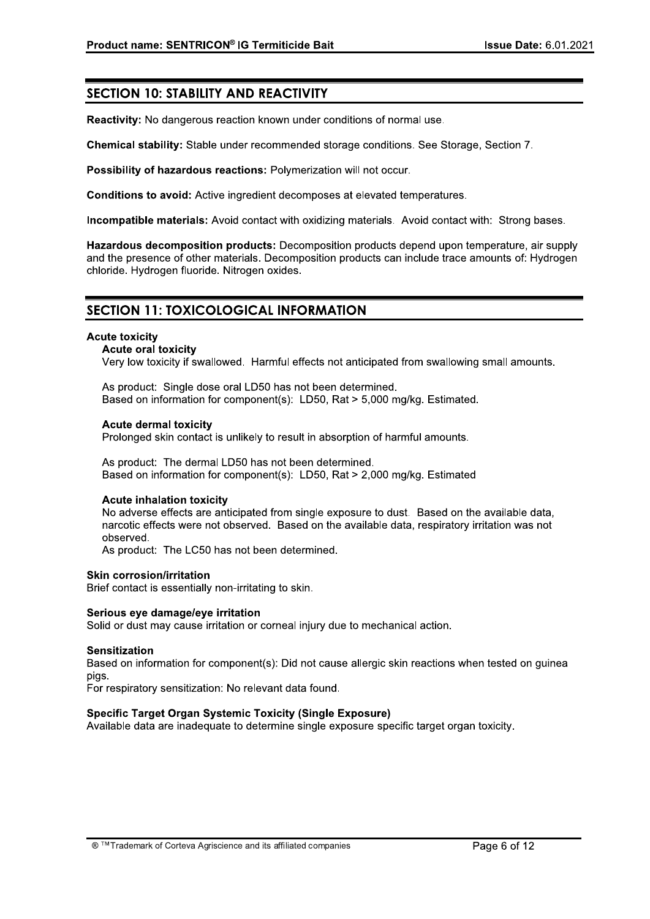## **SECTION 10: STABILITY AND REACTIVITY**

Reactivity: No dangerous reaction known under conditions of normal use.

Chemical stability: Stable under recommended storage conditions. See Storage, Section 7.

Possibility of hazardous reactions: Polymerization will not occur.

Conditions to avoid: Active ingredient decomposes at elevated temperatures.

Incompatible materials: Avoid contact with oxidizing materials. Avoid contact with: Strong bases.

Hazardous decomposition products: Decomposition products depend upon temperature, air supply and the presence of other materials. Decomposition products can include trace amounts of: Hydrogen chloride. Hydrogen fluoride. Nitrogen oxides.

## **SECTION 11: TOXICOLOGICAL INFORMATION**

## **Acute toxicity**

## **Acute oral toxicity**

Very low toxicity if swallowed. Harmful effects not anticipated from swallowing small amounts.

As product: Single dose oral LD50 has not been determined. Based on information for component(s): LD50, Rat > 5,000 mg/kg. Estimated.

## **Acute dermal toxicity**

Prolonged skin contact is unlikely to result in absorption of harmful amounts.

As product: The dermal LD50 has not been determined. Based on information for component(s): LD50, Rat > 2.000 mg/kg. Estimated

## **Acute inhalation toxicity**

No adverse effects are anticipated from single exposure to dust. Based on the available data. narcotic effects were not observed. Based on the available data, respiratory irritation was not observed.

As product: The LC50 has not been determined.

## **Skin corrosion/irritation**

Brief contact is essentially non-irritating to skin.

## Serious eve damage/eve irritation

Solid or dust may cause irritation or corneal injury due to mechanical action.

## **Sensitization**

Based on information for component(s): Did not cause allergic skin reactions when tested on guinea pigs.

For respiratory sensitization: No relevant data found.

## Specific Target Organ Systemic Toxicity (Single Exposure)

Available data are inadequate to determine single exposure specific target organ toxicity.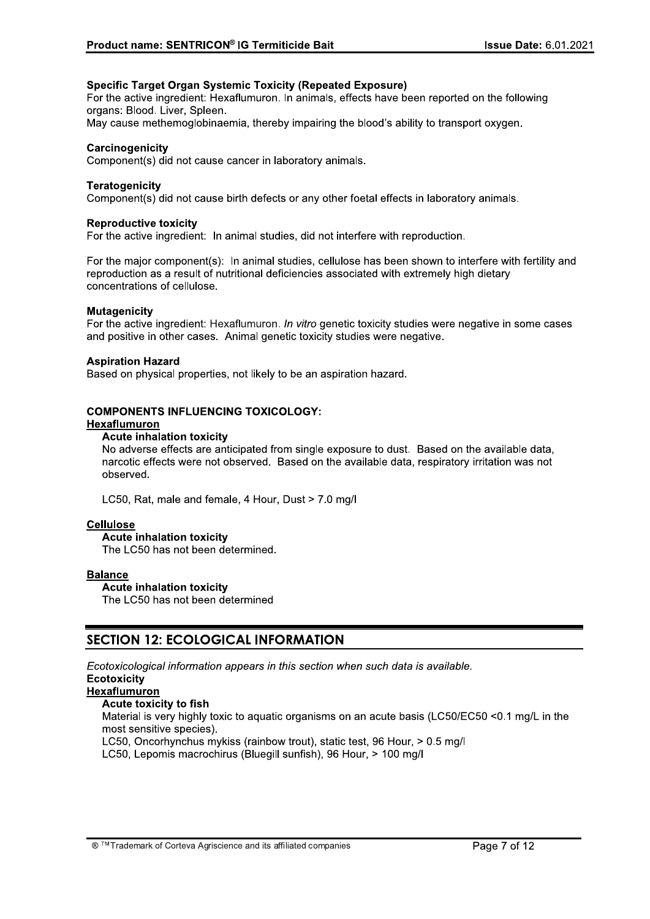## **Specific Target Organ Systemic Toxicity (Repeated Exposure)**

For the active ingredient: Hexaflumuron. In animals, effects have been reported on the following organs: Blood. Liver. Spleen.

May cause methemoglobinaemia, thereby impairing the blood's ability to transport oxygen.

## Carcinogenicity

Component(s) did not cause cancer in laboratory animals.

## **Teratogenicity**

Component(s) did not cause birth defects or any other foetal effects in laboratory animals.

#### **Reproductive toxicity**

For the active ingredient: In animal studies, did not interfere with reproduction.

For the major component(s): In animal studies, cellulose has been shown to interfere with fertility and reproduction as a result of nutritional deficiencies associated with extremely high dietary concentrations of cellulose.

#### **Mutagenicity**

For the active ingredient: Hexaflumuron. In vitro genetic toxicity studies were negative in some cases and positive in other cases. Animal genetic toxicity studies were negative.

## **Aspiration Hazard**

Based on physical properties, not likely to be an aspiration hazard.

## **COMPONENTS INFLUENCING TOXICOLOGY:**

## Hexaflumuron

#### **Acute inhalation toxicity**

No adverse effects are anticipated from single exposure to dust. Based on the available data. narcotic effects were not observed. Based on the available data, respiratory irritation was not observed.

LC50, Rat, male and female, 4 Hour, Dust > 7.0 mg/l

## **Cellulose**

## **Acute inhalation toxicity**

The LC50 has not been determined.

## **Balance**

**Acute inhalation toxicity** 

The LC50 has not been determined

## **SECTION 12: ECOLOGICAL INFORMATION**

Ecotoxicological information appears in this section when such data is available.

## **Ecotoxicity**

## **Hexaflumuron**

## Acute toxicity to fish

Material is very highly toxic to aguatic organisms on an acute basis (LC50/EC50 <0.1 mg/L in the most sensitive species).

LC50. Oncorhynchus mykiss (rainbow trout), static test, 96 Hour, > 0.5 mg/l

LC50, Lepomis macrochirus (Bluegill sunfish), 96 Hour, > 100 mg/l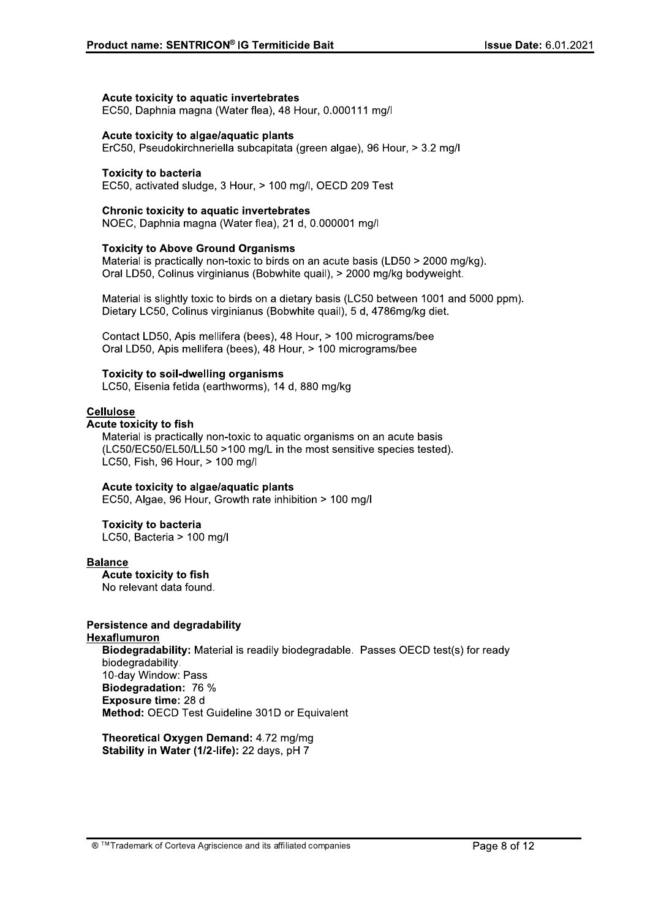## Acute toxicity to aquatic invertebrates

EC50, Daphnia magna (Water flea), 48 Hour, 0.000111 mg/l

## Acute toxicity to algae/aquatic plants

ErC50, Pseudokirchneriella subcapitata (green algae), 96 Hour, > 3.2 mg/l

## **Toxicity to bacteria**

EC50, activated sludge, 3 Hour, > 100 mg/l, OECD 209 Test

#### **Chronic toxicity to aquatic invertebrates**

NOEC, Daphnia magna (Water flea), 21 d, 0.000001 mg/l

## **Toxicity to Above Ground Organisms**

Material is practically non-toxic to birds on an acute basis (LD50 > 2000 mg/kg). Oral LD50, Colinus virginianus (Bobwhite quail), > 2000 mg/kg bodyweight.

Material is slightly toxic to birds on a dietary basis (LC50 between 1001 and 5000 ppm). Dietary LC50, Colinus virginianus (Bobwhite quail), 5 d, 4786mg/kg diet.

Contact LD50, Apis mellifera (bees), 48 Hour, > 100 micrograms/bee Oral LD50, Apis mellifera (bees), 48 Hour, > 100 micrograms/bee

## **Toxicity to soil-dwelling organisms**

LC50, Eisenia fetida (earthworms), 14 d, 880 mg/kg

## **Cellulose**

## **Acute toxicity to fish**

Material is practically non-toxic to aquatic organisms on an acute basis (LC50/EC50/EL50/LL50 >100 mg/L in the most sensitive species tested). LC50, Fish, 96 Hour, > 100 mg/l

## Acute toxicity to algae/aquatic plants

EC50, Algae, 96 Hour, Growth rate inhibition > 100 mg/l

## **Toxicity to bacteria**

LC50, Bacteria > 100 mg/l

## **Balance**

Acute toxicity to fish No relevant data found.

## **Persistence and degradability**

## Hexaflumuron

Biodegradability: Material is readily biodegradable. Passes OECD test(s) for ready biodegradability. 10-day Window: Pass Biodegradation: 76 % Exposure time: 28 d Method: OECD Test Guideline 301D or Equivalent

Theoretical Oxygen Demand: 4.72 mg/mg Stability in Water (1/2-life): 22 days, pH 7

® ™ Trademark of Corteva Agriscience and its affiliated companies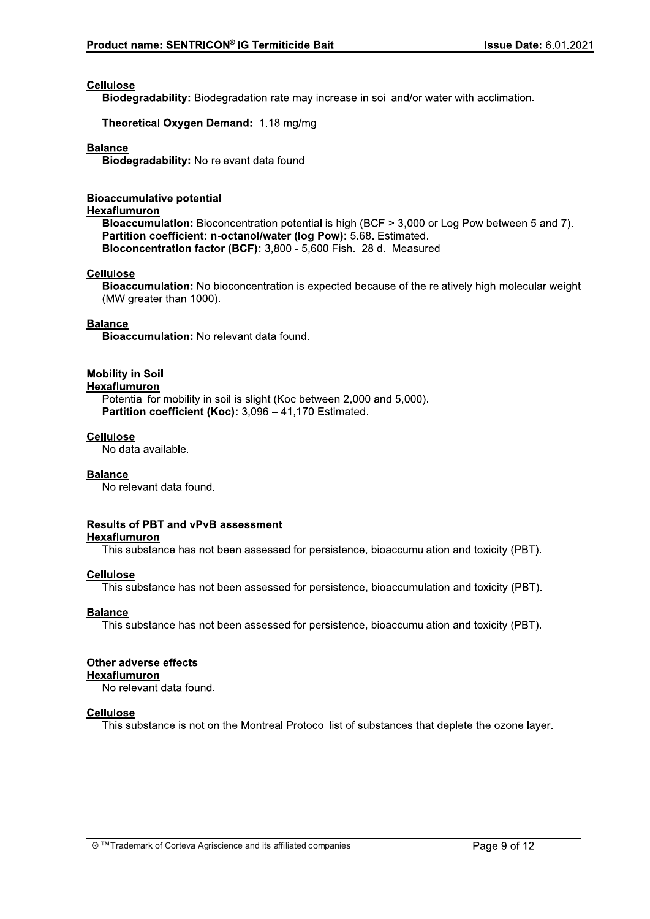## **Cellulose**

Biodegradability: Biodegradation rate may increase in soil and/or water with acclimation.

Theoretical Oxygen Demand: 1.18 mg/mg

## **Balance**

Biodegradability: No relevant data found.

## **Bioaccumulative potential**

## Hexaflumuron

Bioaccumulation: Bioconcentration potential is high (BCF > 3,000 or Log Pow between 5 and 7). Partition coefficient: n-octanol/water (log Pow): 5.68. Estimated. Bioconcentration factor (BCF): 3,800 - 5,600 Fish. 28 d. Measured

## **Cellulose**

Bioaccumulation: No bioconcentration is expected because of the relatively high molecular weight (MW greater than 1000).

## **Balance**

Bioaccumulation: No relevant data found.

## **Mobility in Soil**

## Hexaflumuron

Potential for mobility in soil is slight (Koc between 2,000 and 5,000). Partition coefficient (Koc): 3,096 - 41,170 Estimated.

## **Cellulose**

No data available.

## **Balance**

No relevant data found.

## **Results of PBT and vPvB assessment**

## **Hexaflumuron**

This substance has not been assessed for persistence, bioaccumulation and toxicity (PBT).

## **Cellulose**

This substance has not been assessed for persistence, bioaccumulation and toxicity (PBT).

## **Balance**

This substance has not been assessed for persistence, bioaccumulation and toxicity (PBT).

## Other adverse effects Hexaflumuron

No relevant data found.

## **Cellulose**

This substance is not on the Montreal Protocol list of substances that deplete the ozone layer.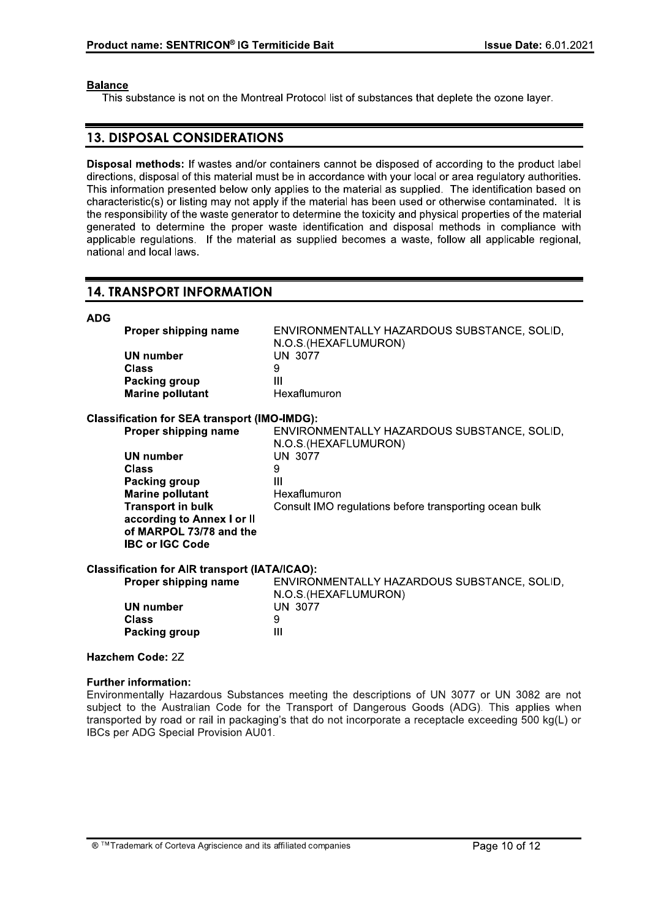## **Balance**

This substance is not on the Montreal Protocol list of substances that deplete the ozone layer.

## **13. DISPOSAL CONSIDERATIONS**

Disposal methods: If wastes and/or containers cannot be disposed of according to the product label directions, disposal of this material must be in accordance with your local or area regulatory authorities. This information presented below only applies to the material as supplied. The identification based on characteristic(s) or listing may not apply if the material has been used or otherwise contaminated. It is the responsibility of the waste generator to determine the toxicity and physical properties of the material generated to determine the proper waste identification and disposal methods in compliance with applicable requlations. If the material as supplied becomes a waste, follow all applicable regional, national and local laws.

## **14. TRANSPORT INFORMATION**

| <b>ADG</b>   |                                                                                 |                                                                     |
|--------------|---------------------------------------------------------------------------------|---------------------------------------------------------------------|
|              | Proper shipping name                                                            | ENVIRONMENTALLY HAZARDOUS SUBSTANCE, SOLID,<br>N.O.S.(HEXAFLUMURON) |
|              | <b>UN number</b>                                                                | <b>UN 3077</b>                                                      |
| <b>Class</b> |                                                                                 | 9                                                                   |
|              | Packing group                                                                   | $\mathbf{III}$                                                      |
|              | <b>Marine pollutant</b>                                                         | Hexaflumuron                                                        |
|              | <b>Classification for SEA transport (IMO-IMDG):</b>                             |                                                                     |
|              | Proper shipping name                                                            | ENVIRONMENTALLY HAZARDOUS SUBSTANCE, SOLID,<br>N.O.S.(HEXAFLUMURON) |
|              | <b>UN number</b>                                                                | <b>UN 3077</b>                                                      |
| <b>Class</b> |                                                                                 | 9                                                                   |
|              | Packing group                                                                   | Ш                                                                   |
|              | <b>Marine pollutant</b>                                                         | Hexaflumuron                                                        |
|              | <b>Transport in bulk</b>                                                        | Consult IMO regulations before transporting ocean bulk              |
|              | according to Annex I or II<br>of MARPOL 73/78 and the<br><b>IBC or IGC Code</b> |                                                                     |
|              | <b>Classification for AIR transport (IATA/ICAO):</b>                            |                                                                     |
|              | Proper shipping name                                                            | ENVIRONMENTALLY HAZARDOUS SUBSTANCE, SOLID,<br>N.O.S.(HEXAFLUMURON) |
|              | <b>UN number</b>                                                                | <b>UN 3077</b>                                                      |
| <b>Class</b> |                                                                                 | 9                                                                   |

## Hazchem Code: 2Z

**Packing group** 

## **Further information:**

Environmentally Hazardous Substances meeting the descriptions of UN 3077 or UN 3082 are not subject to the Australian Code for the Transport of Dangerous Goods (ADG). This applies when transported by road or rail in packaging's that do not incorporate a receptacle exceeding 500 kg(L) or IBCs per ADG Special Provision AU01.

 $\mathbf{III}$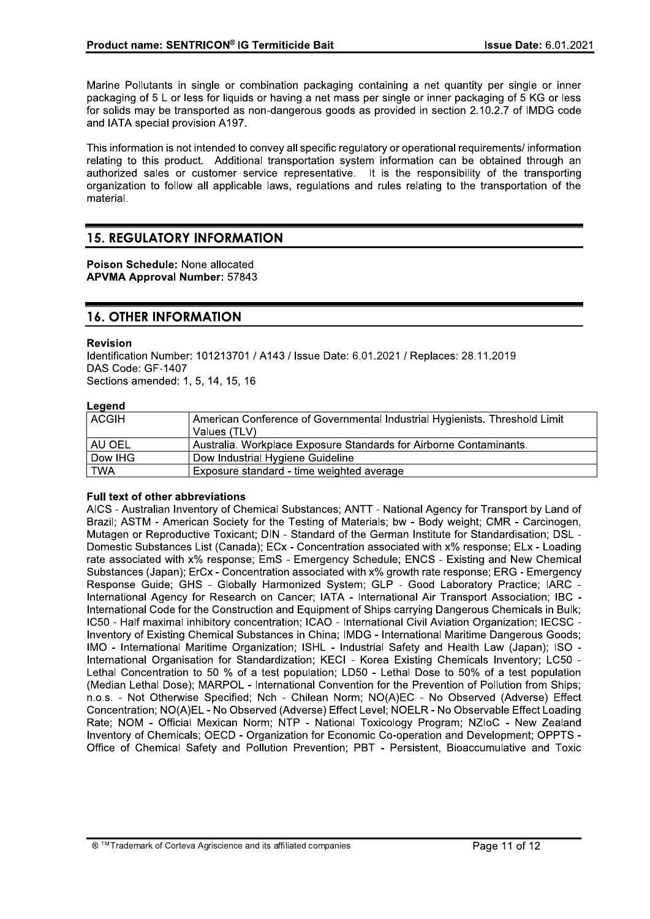Marine Pollutants in single or combination packaging containing a net quantity per single or inner packaging of 5 L or less for liguids or having a net mass per single or inner packaging of 5 KG or less for solids may be transported as non-dangerous goods as provided in section 2.10.2.7 of IMDG code and IATA special provision A197.

This information is not intended to convey all specific regulatory or operational requirements/ information relating to this product. Additional transportation system information can be obtained through an authorized sales or customer service representative. It is the responsibility of the transporting organization to follow all applicable laws, regulations and rules relating to the transportation of the material.

## **15. REGULATORY INFORMATION**

Poison Schedule: None allocated **APVMA Approval Number: 57843** 

## **16. OTHER INFORMATION**

## **Revision**

Identification Number: 101213701 / A143 / Issue Date: 6.01.2021 / Replaces: 28.11.2019 DAS Code: GF-1407 Sections amended: 1, 5, 14, 15, 16

## Leaend

| ___<br><b>ACGIH</b> | American Conference of Governmental Industrial Hygienists. Threshold Limit |
|---------------------|----------------------------------------------------------------------------|
|                     | Values (TLV)                                                               |
| I AU OEL            | Australia. Workplace Exposure Standards for Airborne Contaminants.         |
| Dow IHG             | Dow Industrial Hygiene Guideline                                           |
| <b>TWA</b>          | Exposure standard - time weighted average                                  |

## **Full text of other abbreviations**

AICS - Australian Inventory of Chemical Substances: ANTT - National Agency for Transport by Land of Brazil; ASTM - American Society for the Testing of Materials; bw - Body weight; CMR - Carcinogen, Mutagen or Reproductive Toxicant; DIN - Standard of the German Institute for Standardisation; DSL -Domestic Substances List (Canada); ECx - Concentration associated with x% response; ELx - Loading rate associated with x% response; EmS - Emergency Schedule; ENCS - Existing and New Chemical Substances (Japan); ErCx - Concentration associated with x% growth rate response; ERG - Emergency Response Guide; GHS - Globally Harmonized System; GLP - Good Laboratory Practice; IARC -International Agency for Research on Cancer: IATA - International Air Transport Association: IBC -International Code for the Construction and Equipment of Ships carrying Dangerous Chemicals in Bulk: IC50 - Half maximal inhibitory concentration; ICAO - International Civil Aviation Organization; IECSC -Inventory of Existing Chemical Substances in China; IMDG - International Maritime Dangerous Goods; IMO - International Maritime Organization; ISHL - Industrial Safety and Health Law (Japan); ISO International Organisation for Standardization; KECI - Korea Existing Chemicals Inventory; LC50 Lethal Concentration to 50 % of a test population; LD50 - Lethal Dose to 50% of a test population (Median Lethal Dose); MARPOL - International Convention for the Prevention of Pollution from Ships; n.o.s. - Not Otherwise Specified; Nch - Chilean Norm; NO(A)EC - No Observed (Adverse) Effect Concentration; NO(A)EL - No Observed (Adverse) Effect Level; NOELR - No Observable Effect Loading Rate; NOM - Official Mexican Norm; NTP - National Toxicology Program; NZIoC - New Zealand Inventory of Chemicals; OECD - Organization for Economic Co-operation and Development; OPPTS -Office of Chemical Safety and Pollution Prevention; PBT - Persistent, Bioaccumulative and Toxic